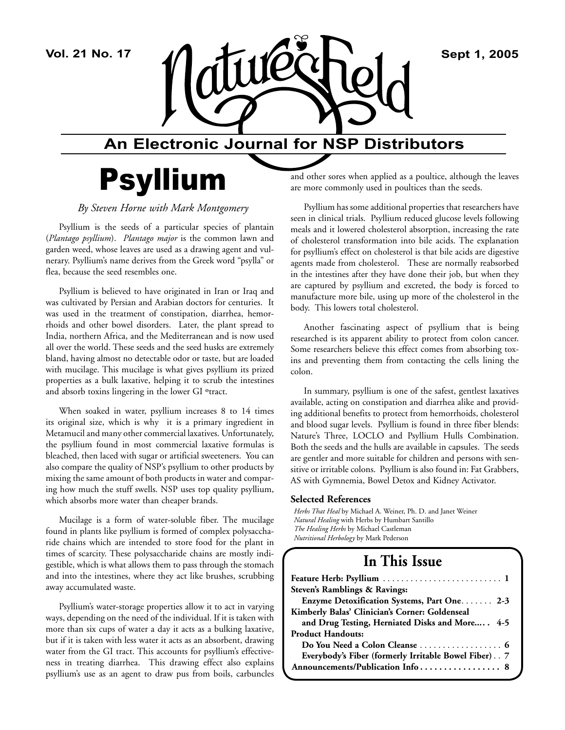

## **An Electronic Journal for NSP Distributors**

# Psyllium

*By Steven Horne with Mark Montgomery* 

Psyllium is the seeds of a particular species of plantain (*Plantago psyllium*). *Plantago major* is the common lawn and garden weed, whose leaves are used as a drawing agent and vulnerary. Psyllium's name derives from the Greek word "psylla" or flea, because the seed resembles one.

Psyllium is believed to have originated in Iran or Iraq and was cultivated by Persian and Arabian doctors for centuries. It was used in the treatment of constipation, diarrhea, hemorrhoids and other bowel disorders. Later, the plant spread to India, northern Africa, and the Mediterranean and is now used all over the world. These seeds and the seed husks are extremely bland, having almost no detectable odor or taste, but are loaded with mucilage. This mucilage is what gives psyllium its prized properties as a bulk laxative, helping it to scrub the intestines and absorb toxins lingering in the lower GI °tract.

When soaked in water, psyllium increases 8 to 14 times its original size, which is why it is a primary ingredient in Metamucil and many other commercial laxatives. Unfortunately, the psyllium found in most commercial laxative formulas is bleached, then laced with sugar or artificial sweeteners. You can also compare the quality of NSP's psyllium to other products by mixing the same amount of both products in water and comparing how much the stuff swells. NSP uses top quality psyllium, which absorbs more water than cheaper brands.

Mucilage is a form of water-soluble fiber. The mucilage found in plants like psyllium is formed of complex polysaccharide chains which are intended to store food for the plant in times of scarcity. These polysaccharide chains are mostly indigestible, which is what allows them to pass through the stomach and into the intestines, where they act like brushes, scrubbing away accumulated waste.

Psyllium's water-storage properties allow it to act in varying ways, depending on the need of the individual. If it is taken with more than six cups of water a day it acts as a bulking laxative, but if it is taken with less water it acts as an absorbent, drawing water from the GI tract. This accounts for psyllium's effectiveness in treating diarrhea. This drawing effect also explains psyllium's use as an agent to draw pus from boils, carbuncles

and other sores when applied as a poultice, although the leaves are more commonly used in poultices than the seeds.

Psyllium has some additional properties that researchers have seen in clinical trials. Psyllium reduced glucose levels following meals and it lowered cholesterol absorption, increasing the rate of cholesterol transformation into bile acids. The explanation for psyllium's effect on cholesterol is that bile acids are digestive agents made from cholesterol. These are normally reabsorbed in the intestines after they have done their job, but when they are captured by psyllium and excreted, the body is forced to manufacture more bile, using up more of the cholesterol in the body. This lowers total cholesterol.

Another fascinating aspect of psyllium that is being researched is its apparent ability to protect from colon cancer. Some researchers believe this effect comes from absorbing toxins and preventing them from contacting the cells lining the colon.

In summary, psyllium is one of the safest, gentlest laxatives available, acting on constipation and diarrhea alike and providing additional benefits to protect from hemorrhoids, cholesterol and blood sugar levels. Psyllium is found in three fiber blends: Nature's Three, LOCLO and Psyllium Hulls Combination. Both the seeds and the hulls are available in capsules. The seeds are gentler and more suitable for children and persons with sensitive or irritable colons. Psyllium is also found in: Fat Grabbers, AS with Gymnemia, Bowel Detox and Kidney Activator.

#### **Selected References**

*Herbs That Heal* by Michael A. Weiner, Ph. D. and Janet Weiner *Natural Healing* with Herbs by Humbart Santillo *The Healing Herbs* by Michael Castleman *Nutritional Herbology* by Mark Pederson

## **In This Issue**

| Steven's Ramblings & Ravings:                        |
|------------------------------------------------------|
| Enzyme Detoxification Systems, Part One. 2-3         |
| Kimberly Balas' Clinician's Corner: Goldenseal       |
| and Drug Testing, Herniated Disks and More 4-5       |
| <b>Product Handouts:</b>                             |
|                                                      |
| Everybody's Fiber (formerly Irritable Bowel Fiber) 7 |
|                                                      |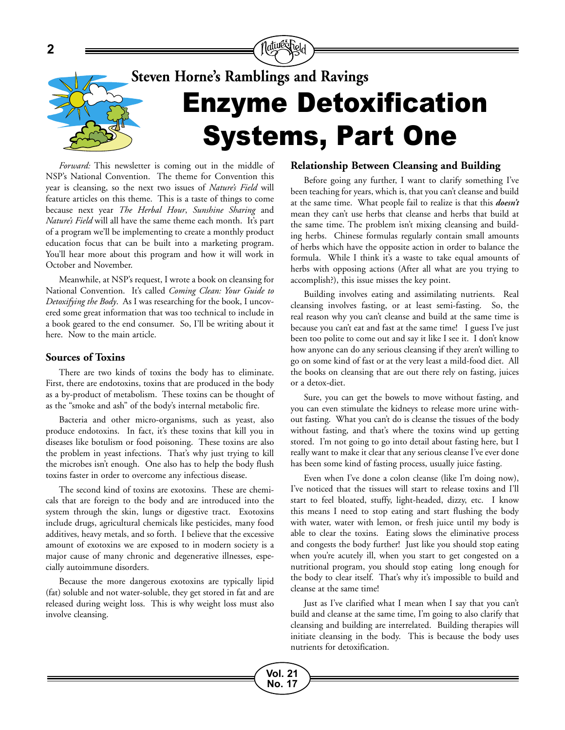

**Vol. 21 No. 17**

*Forward:* This newsletter is coming out in the middle of NSP's National Convention. The theme for Convention this year is cleansing, so the next two issues of *Nature's Field* will feature articles on this theme. This is a taste of things to come because next year *The Herbal Hour*, *Sunshine Sharing* and *Nature's Field* will all have the same theme each month. It's part of a program we'll be implementing to create a monthly product education focus that can be built into a marketing program. You'll hear more about this program and how it will work in October and November.

Meanwhile, at NSP's request, I wrote a book on cleansing for National Convention. It's called *Coming Clean: Your Guide to Detoxifying the Body*. As I was researching for the book, I uncovered some great information that was too technical to include in a book geared to the end consumer. So, I'll be writing about it here. Now to the main article.

#### **Sources of Toxins**

There are two kinds of toxins the body has to eliminate. First, there are endotoxins, toxins that are produced in the body as a by-product of metabolism. These toxins can be thought of as the "smoke and ash" of the body's internal metabolic fire.

Bacteria and other micro-organisms, such as yeast, also produce endotoxins. In fact, it's these toxins that kill you in diseases like botulism or food poisoning. These toxins are also the problem in yeast infections. That's why just trying to kill the microbes isn't enough. One also has to help the body flush toxins faster in order to overcome any infectious disease.

The second kind of toxins are exotoxins. These are chemicals that are foreign to the body and are introduced into the system through the skin, lungs or digestive tract. Exotoxins include drugs, agricultural chemicals like pesticides, many food additives, heavy metals, and so forth. I believe that the excessive amount of exotoxins we are exposed to in modern society is a major cause of many chronic and degenerative illnesses, especially autoimmune disorders.

Because the more dangerous exotoxins are typically lipid (fat) soluble and not water-soluble, they get stored in fat and are released during weight loss. This is why weight loss must also involve cleansing.

#### **Relationship Between Cleansing and Building**

Before going any further, I want to clarify something I've been teaching for years, which is, that you can't cleanse and build at the same time. What people fail to realize is that this *doesn't*  mean they can't use herbs that cleanse and herbs that build at the same time. The problem isn't mixing cleansing and building herbs. Chinese formulas regularly contain small amounts of herbs which have the opposite action in order to balance the formula. While I think it's a waste to take equal amounts of herbs with opposing actions (After all what are you trying to accomplish?), this issue misses the key point.

Building involves eating and assimilating nutrients. Real cleansing involves fasting, or at least semi-fasting. So, the real reason why you can't cleanse and build at the same time is because you can't eat and fast at the same time! I guess I've just been too polite to come out and say it like I see it. I don't know how anyone can do any serious cleansing if they aren't willing to go on some kind of fast or at the very least a mild-food diet. All the books on cleansing that are out there rely on fasting, juices or a detox-diet.

Sure, you can get the bowels to move without fasting, and you can even stimulate the kidneys to release more urine without fasting. What you can't do is cleanse the tissues of the body without fasting, and that's where the toxins wind up getting stored. I'm not going to go into detail about fasting here, but I really want to make it clear that any serious cleanse I've ever done has been some kind of fasting process, usually juice fasting.

Even when I've done a colon cleanse (like I'm doing now), I've noticed that the tissues will start to release toxins and I'll start to feel bloated, stuffy, light-headed, dizzy, etc. I know this means I need to stop eating and start flushing the body with water, water with lemon, or fresh juice until my body is able to clear the toxins. Eating slows the eliminative process and congests the body further! Just like you should stop eating when you're acutely ill, when you start to get congested on a nutritional program, you should stop eating long enough for the body to clear itself. That's why it's impossible to build and cleanse at the same time!

Just as I've clarified what I mean when I say that you can't build and cleanse at the same time, I'm going to also clarify that cleansing and building are interrelated. Building therapies will initiate cleansing in the body. This is because the body uses nutrients for detoxification.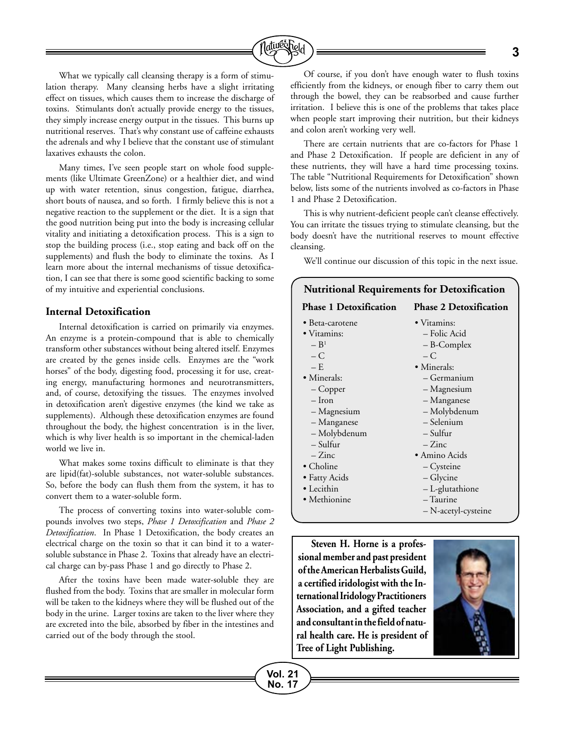

What we typically call cleansing therapy is a form of stimulation therapy. Many cleansing herbs have a slight irritating effect on tissues, which causes them to increase the discharge of toxins. Stimulants don't actually provide energy to the tissues, they simply increase energy output in the tissues. This burns up nutritional reserves. That's why constant use of caffeine exhausts the adrenals and why I believe that the constant use of stimulant laxatives exhausts the colon.

Many times, I've seen people start on whole food supplements (like Ultimate GreenZone) or a healthier diet, and wind up with water retention, sinus congestion, fatigue, diarrhea, short bouts of nausea, and so forth. I firmly believe this is not a negative reaction to the supplement or the diet. It is a sign that the good nutrition being put into the body is increasing cellular vitality and initiating a detoxification process. This is a sign to stop the building process (i.e., stop eating and back off on the supplements) and flush the body to eliminate the toxins. As I learn more about the internal mechanisms of tissue detoxification, I can see that there is some good scientific backing to some of my intuitive and experiential conclusions.

#### **Internal Detoxification**

Internal detoxification is carried on primarily via enzymes. An enzyme is a protein-compound that is able to chemically transform other substances without being altered itself. Enzymes are created by the genes inside cells. Enzymes are the "work horses" of the body, digesting food, processing it for use, creating energy, manufacturing hormones and neurotransmitters, and, of course, detoxifying the tissues. The enzymes involved in detoxification aren't digestive enzymes (the kind we take as supplements). Although these detoxification enzymes are found throughout the body, the highest concentration is in the liver, which is why liver health is so important in the chemical-laden world we live in.

What makes some toxins difficult to eliminate is that they are lipid(fat)-soluble substances, not water-soluble substances. So, before the body can flush them from the system, it has to convert them to a water-soluble form.

The process of converting toxins into water-soluble compounds involves two steps, *Phase 1 Detoxification* and *Phase 2 Detoxification*. In Phase 1 Detoxification, the body creates an electrical charge on the toxin so that it can bind it to a watersoluble substance in Phase 2. Toxins that already have an electrical charge can by-pass Phase 1 and go directly to Phase 2.

After the toxins have been made water-soluble they are flushed from the body. Toxins that are smaller in molecular form will be taken to the kidneys where they will be flushed out of the body in the urine. Larger toxins are taken to the liver where they are excreted into the bile, absorbed by fiber in the intestines and carried out of the body through the stool.

Of course, if you don't have enough water to flush toxins efficiently from the kidneys, or enough fiber to carry them out through the bowel, they can be reabsorbed and cause further irritation. I believe this is one of the problems that takes place when people start improving their nutrition, but their kidneys and colon aren't working very well.

There are certain nutrients that are co-factors for Phase 1 and Phase 2 Detoxification. If people are deficient in any of these nutrients, they will have a hard time processing toxins. The table "Nutritional Requirements for Detoxification" shown below, lists some of the nutrients involved as co-factors in Phase 1 and Phase 2 Detoxification.

This is why nutrient-deficient people can't cleanse effectively. You can irritate the tissues trying to stimulate cleansing, but the body doesn't have the nutritional reserves to mount effective cleansing.

We'll continue our discussion of this topic in the next issue.

| <b>Nutritional Requirements for Detoxification</b> |                               |  |
|----------------------------------------------------|-------------------------------|--|
| <b>Phase 1 Detoxification</b>                      | <b>Phase 2 Detoxification</b> |  |
| • Beta-carotene                                    | • Vitamins:                   |  |
| • Vitamins:                                        | - Folic Acid                  |  |
| $- B1$                                             | - B-Complex                   |  |
| $-C$                                               | $-C$                          |  |
| $- E$                                              | • Minerals:                   |  |
| • Minerals:                                        | – Germanium                   |  |
| $-Copper$                                          | - Magnesium                   |  |
| $-$ Iron                                           | - Manganese                   |  |
| – Magnesium                                        | - Molybdenum                  |  |
| - Manganese                                        | - Selenium                    |  |
| - Molybdenum                                       | – Sulfur                      |  |
| – Sulfur                                           | $-Zinc$                       |  |
| $-Zinc$                                            | · Amino Acids                 |  |
| • Choline                                          | – Cysteine                    |  |
| • Fatty Acids                                      | – Glycine                     |  |
| • Lecithin                                         | - L-glutathione               |  |
| • Methionine                                       | $-$ Taurine                   |  |
|                                                    | - N-acetyl-cysteine           |  |
|                                                    |                               |  |

**Steven H. Horne is a professional member and past president of the American Herbalists Guild, a certified iridologist with the International Iridology Practitioners Association, and a gifted teacher and consultant in the field of natural health care. He is president of Tree of Light Publishing.**

**Vol. 21 No. 17**

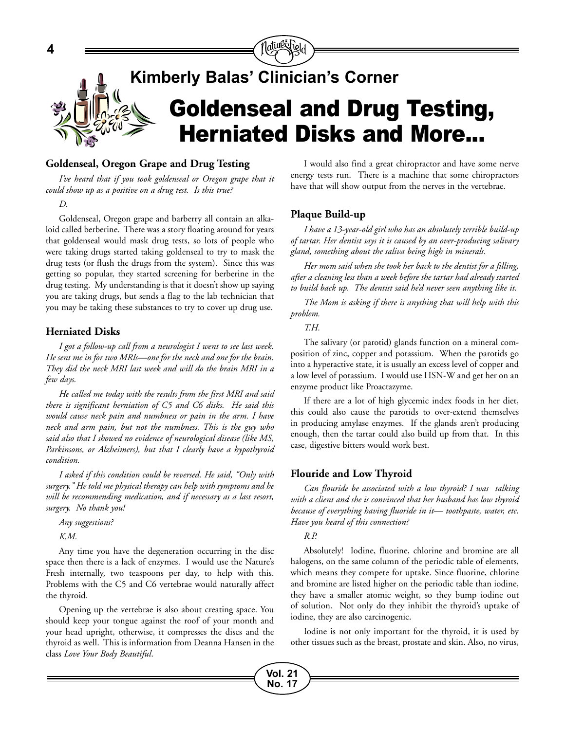

#### **Goldenseal, Oregon Grape and Drug Testing**

*I've heard that if you took goldenseal or Oregon grape that it could show up as a positive on a drug test. Is this true?*

#### *D.*

Goldenseal, Oregon grape and barberry all contain an alkaloid called berberine. There was a story floating around for years that goldenseal would mask drug tests, so lots of people who were taking drugs started taking goldenseal to try to mask the drug tests (or flush the drugs from the system). Since this was getting so popular, they started screening for berberine in the drug testing. My understanding is that it doesn't show up saying you are taking drugs, but sends a flag to the lab technician that you may be taking these substances to try to cover up drug use.

#### **Herniated Disks**

*I got a follow-up call from a neurologist I went to see last week. He sent me in for two MRIs—one for the neck and one for the brain. They did the neck MRI last week and will do the brain MRI in a few days.*

*He called me today with the results from the first MRI and said there is significant herniation of C5 and C6 disks. He said this would cause neck pain and numbness or pain in the arm. I have neck and arm pain, but not the numbness. This is the guy who said also that I showed no evidence of neurological disease (like MS, Parkinsons, or Alzheimers), but that I clearly have a hypothyroid condition.*

*I asked if this condition could be reversed. He said, "Only with surgery." He told me physical therapy can help with symptoms and he will be recommending medication, and if necessary as a last resort, surgery. No thank you!*

*Any suggestions?*

*K.M.*

Any time you have the degeneration occurring in the disc space then there is a lack of enzymes. I would use the Nature's Fresh internally, two teaspoons per day, to help with this. Problems with the C5 and C6 vertebrae would naturally affect the thyroid.

Opening up the vertebrae is also about creating space. You should keep your tongue against the roof of your month and your head upright, otherwise, it compresses the discs and the thyroid as well. This is information from Deanna Hansen in the class *Love Your Body Beautiful*.

I would also find a great chiropractor and have some nerve energy tests run. There is a machine that some chiropractors have that will show output from the nerves in the vertebrae.

#### **Plaque Build-up**

*I have a 13-year-old girl who has an absolutely terrible build-up of tartar. Her dentist says it is caused by an over-producing salivary gland, something about the saliva being high in minerals.*

*Her mom said when she took her back to the dentist for a filling, after a cleaning less than a week before the tartar had already started to build back up. The dentist said he'd never seen anything like it.*

*The Mom is asking if there is anything that will help with this problem.* 

*T.H.*

The salivary (or parotid) glands function on a mineral composition of zinc, copper and potassium. When the parotids go into a hyperactive state, it is usually an excess level of copper and a low level of potassium. I would use HSN-W and get her on an enzyme product like Proactazyme.

If there are a lot of high glycemic index foods in her diet, this could also cause the parotids to over-extend themselves in producing amylase enzymes. If the glands aren't producing enough, then the tartar could also build up from that. In this case, digestive bitters would work best.

#### **Flouride and Low Thyroid**

*Can flouride be associated with a low thyroid? I was talking with a client and she is convinced that her husband has low thyroid because of everything having fluoride in it— toothpaste, water, etc. Have you heard of this connection?*

#### *R.P.*

Absolutely! Iodine, fluorine, chlorine and bromine are all halogens, on the same column of the periodic table of elements, which means they compete for uptake. Since fluorine, chlorine and bromine are listed higher on the periodic table than iodine, they have a smaller atomic weight, so they bump iodine out of solution. Not only do they inhibit the thyroid's uptake of iodine, they are also carcinogenic.

Iodine is not only important for the thyroid, it is used by other tissues such as the breast, prostate and skin. Also, no virus,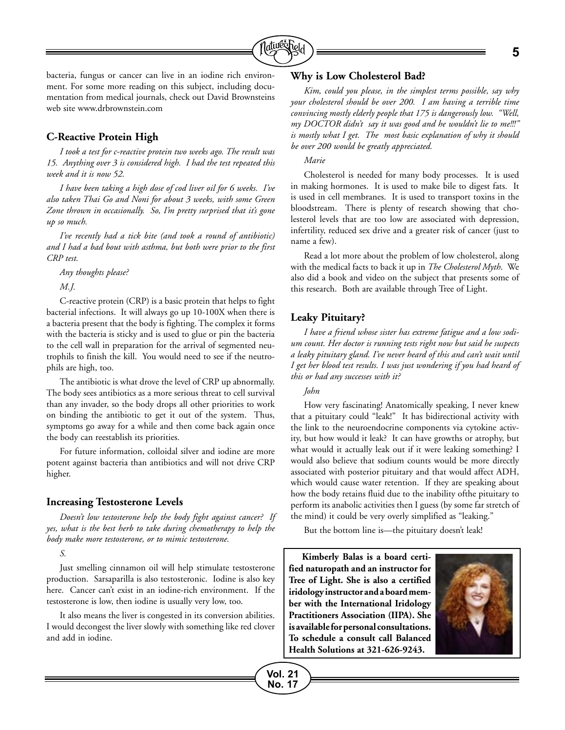

bacteria, fungus or cancer can live in an iodine rich environment. For some more reading on this subject, including documentation from medical journals, check out David Brownsteins web site www.drbrownstein.com

#### **C-Reactive Protein High**

*I took a test for c-reactive protein two weeks ago. The result was 15. Anything over 3 is considered high. I had the test repeated this week and it is now 52.* 

*I have been taking a high dose of cod liver oil for 6 weeks. I've also taken Thai Go and Noni for about 3 weeks, with some Green Zone thrown in occasionally. So, I'm pretty surprised that it's gone up so much.*

*I've recently had a tick bite (and took a round of antibiotic) and I had a bad bout with asthma, but both were prior to the first CRP test.*

*Any thoughts please?*

*M.J.*

C-reactive protein (CRP) is a basic protein that helps to fight bacterial infections. It will always go up 10-100X when there is a bacteria present that the body is fighting. The complex it forms with the bacteria is sticky and is used to glue or pin the bacteria to the cell wall in preparation for the arrival of segmented neutrophils to finish the kill. You would need to see if the neutrophils are high, too.

The antibiotic is what drove the level of CRP up abnormally. The body sees antibiotics as a more serious threat to cell survival than any invader, so the body drops all other priorities to work on binding the antibiotic to get it out of the system. Thus, symptoms go away for a while and then come back again once the body can reestablish its priorities.

For future information, colloidal silver and iodine are more potent against bacteria than antibiotics and will not drive CRP higher.

#### **Increasing Testosterone Levels**

*Doesn't low testosterone help the body fight against cancer? If yes, what is the best herb to take during chemotherapy to help the body make more testosterone, or to mimic testosterone.*

*S.*

Just smelling cinnamon oil will help stimulate testosterone production. Sarsaparilla is also testosteronic. Iodine is also key here. Cancer can't exist in an iodine-rich environment. If the testosterone is low, then iodine is usually very low, too.

It also means the liver is congested in its conversion abilities. I would decongest the liver slowly with something like red clover and add in iodine.

#### **Why is Low Cholesterol Bad?**

*Kim, could you please, in the simplest terms possible, say why your cholesterol should be over 200. I am having a terrible time convincing mostly elderly people that 175 is dangerously low. "Well, my DOCTOR didn't say it was good and he wouldn't lie to me!!!" is mostly what I get. The most basic explanation of why it should be over 200 would be greatly appreciated.*

#### *Marie*

Cholesterol is needed for many body processes. It is used in making hormones. It is used to make bile to digest fats. It is used in cell membranes. It is used to transport toxins in the bloodstream. There is plenty of research showing that cholesterol levels that are too low are associated with depression, infertility, reduced sex drive and a greater risk of cancer (just to name a few).

Read a lot more about the problem of low cholesterol, along with the medical facts to back it up in *The Cholesterol Myth*. We also did a book and video on the subject that presents some of this research. Both are available through Tree of Light.

#### **Leaky Pituitary?**

*I have a friend whose sister has extreme fatigue and a low sodium count. Her doctor is running tests right now but said he suspects a leaky pituitary gland. I've never heard of this and can't wait until I get her blood test results. I was just wondering if you had heard of this or had any successes with it?*

#### *John*

**Vol. 21 No. 17**

How very fascinating! Anatomically speaking, I never knew that a pituitary could "leak!" It has bidirectional activity with the link to the neuroendocrine components via cytokine activity, but how would it leak? It can have growths or atrophy, but what would it actually leak out if it were leaking something? I would also believe that sodium counts would be more directly associated with posterior pituitary and that would affect ADH, which would cause water retention. If they are speaking about how the body retains fluid due to the inability ofthe pituitary to perform its anabolic activities then I guess (by some far stretch of the mind) it could be very overly simplified as "leaking."

But the bottom line is—the pituitary doesn't leak!

**Kimberly Balas is a board certified naturopath and an instructor for Tree of Light. She is also a certified iridology instructor and a board member with the International Iridology Practitioners Association (IIPA). She is available for personal consultations. To schedule a consult call Balanced Health Solutions at 321-626-9243.**

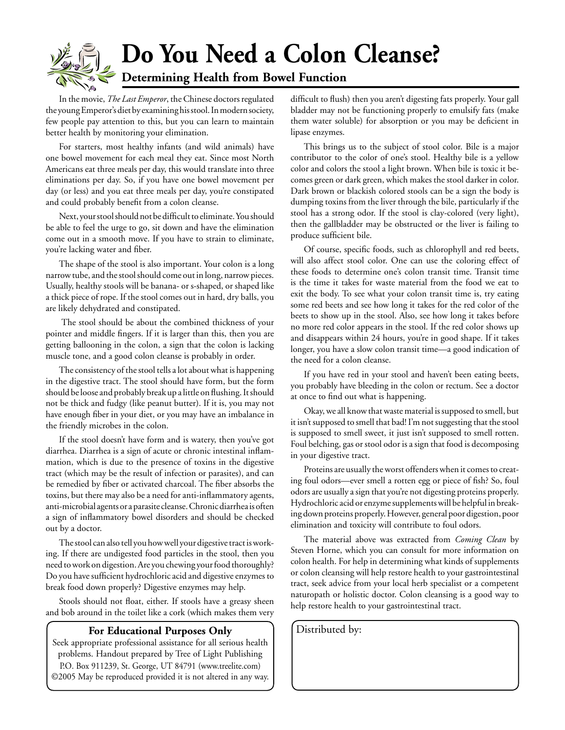

In the movie, *The Last Emperor*, the Chinese doctors regulated the young Emperor's diet by examining his stool. In modern society, few people pay attention to this, but you can learn to maintain better health by monitoring your elimination.

For starters, most healthy infants (and wild animals) have one bowel movement for each meal they eat. Since most North Americans eat three meals per day, this would translate into three eliminations per day. So, if you have one bowel movement per day (or less) and you eat three meals per day, you're constipated and could probably benefit from a colon cleanse.

Next, your stool should not be difficult to eliminate. You should be able to feel the urge to go, sit down and have the elimination come out in a smooth move. If you have to strain to eliminate, you're lacking water and fiber.

The shape of the stool is also important. Your colon is a long narrow tube, and the stool should come out in long, narrow pieces. Usually, healthy stools will be banana- or s-shaped, or shaped like a thick piece of rope. If the stool comes out in hard, dry balls, you are likely dehydrated and constipated.

 The stool should be about the combined thickness of your pointer and middle fingers. If it is larger than this, then you are getting ballooning in the colon, a sign that the colon is lacking muscle tone, and a good colon cleanse is probably in order.

The consistency of the stool tells a lot about what is happening in the digestive tract. The stool should have form, but the form should be loose and probably break up a little on flushing. It should not be thick and fudgy (like peanut butter). If it is, you may not have enough fiber in your diet, or you may have an imbalance in the friendly microbes in the colon.

If the stool doesn't have form and is watery, then you've got diarrhea. Diarrhea is a sign of acute or chronic intestinal inflammation, which is due to the presence of toxins in the digestive tract (which may be the result of infection or parasites), and can be remedied by fiber or activated charcoal. The fiber absorbs the toxins, but there may also be a need for anti-inflammatory agents, anti-microbial agents or a parasite cleanse. Chronic diarrhea is often a sign of inflammatory bowel disorders and should be checked out by a doctor.

The stool can also tell you how well your digestive tract is working. If there are undigested food particles in the stool, then you need to work on digestion. Are you chewing your food thoroughly? Do you have sufficient hydrochloric acid and digestive enzymes to break food down properly? Digestive enzymes may help.

Stools should not float, either. If stools have a greasy sheen and bob around in the toilet like a cork (which makes them very

#### **For Educational Purposes Only** | Distributed by:

Seek appropriate professional assistance for all serious health problems. Handout prepared by Tree of Light Publishing P.O. Box 911239, St. George, UT 84791 (www.treelite.com) ©2005 May be reproduced provided it is not altered in any way. difficult to flush) then you aren't digesting fats properly. Your gall bladder may not be functioning properly to emulsify fats (make them water soluble) for absorption or you may be deficient in lipase enzymes.

This brings us to the subject of stool color. Bile is a major contributor to the color of one's stool. Healthy bile is a yellow color and colors the stool a light brown. When bile is toxic it becomes green or dark green, which makes the stool darker in color. Dark brown or blackish colored stools can be a sign the body is dumping toxins from the liver through the bile, particularly if the stool has a strong odor. If the stool is clay-colored (very light), then the gallbladder may be obstructed or the liver is failing to produce sufficient bile.

Of course, specific foods, such as chlorophyll and red beets, will also affect stool color. One can use the coloring effect of these foods to determine one's colon transit time. Transit time is the time it takes for waste material from the food we eat to exit the body. To see what your colon transit time is, try eating some red beets and see how long it takes for the red color of the beets to show up in the stool. Also, see how long it takes before no more red color appears in the stool. If the red color shows up and disappears within 24 hours, you're in good shape. If it takes longer, you have a slow colon transit time—a good indication of the need for a colon cleanse.

If you have red in your stool and haven't been eating beets, you probably have bleeding in the colon or rectum. See a doctor at once to find out what is happening.

Okay, we all know that waste material is supposed to smell, but it isn't supposed to smell that bad! I'm not suggesting that the stool is supposed to smell sweet, it just isn't supposed to smell rotten. Foul belching, gas or stool odor is a sign that food is decomposing in your digestive tract.

Proteins are usually the worst offenders when it comes to creating foul odors—ever smell a rotten egg or piece of fish? So, foul odors are usually a sign that you're not digesting proteins properly. Hydrochloric acid or enzyme supplements will be helpful in breaking down proteins properly. However, general poor digestion, poor elimination and toxicity will contribute to foul odors.

The material above was extracted from *Coming Clean* by Steven Horne, which you can consult for more information on colon health. For help in determining what kinds of supplements or colon cleansing will help restore health to your gastrointestinal tract, seek advice from your local herb specialist or a competent naturopath or holistic doctor. Colon cleansing is a good way to help restore health to your gastrointestinal tract.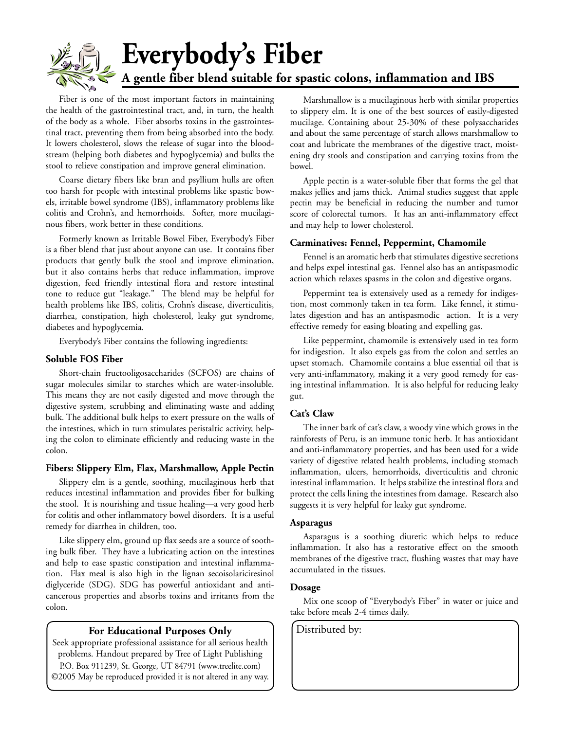

Fiber is one of the most important factors in maintaining the health of the gastrointestinal tract, and, in turn, the health of the body as a whole. Fiber absorbs toxins in the gastrointestinal tract, preventing them from being absorbed into the body. It lowers cholesterol, slows the release of sugar into the bloodstream (helping both diabetes and hypoglycemia) and bulks the stool to relieve constipation and improve general elimination.

Coarse dietary fibers like bran and psyllium hulls are often too harsh for people with intestinal problems like spastic bowels, irritable bowel syndrome (IBS), inflammatory problems like colitis and Crohn's, and hemorrhoids. Softer, more mucilaginous fibers, work better in these conditions.

Formerly known as Irritable Bowel Fiber, Everybody's Fiber is a fiber blend that just about anyone can use. It contains fiber products that gently bulk the stool and improve elimination, but it also contains herbs that reduce inflammation, improve digestion, feed friendly intestinal flora and restore intestinal tone to reduce gut "leakage." The blend may be helpful for health problems like IBS, colitis, Crohn's disease, diverticulitis, diarrhea, constipation, high cholesterol, leaky gut syndrome, diabetes and hypoglycemia.

Everybody's Fiber contains the following ingredients:

#### **Soluble FOS Fiber**

Short-chain fructooligosaccharides (SCFOS) are chains of sugar molecules similar to starches which are water-insoluble. This means they are not easily digested and move through the digestive system, scrubbing and eliminating waste and adding bulk. The additional bulk helps to exert pressure on the walls of the intestines, which in turn stimulates peristaltic activity, helping the colon to eliminate efficiently and reducing waste in the colon.

#### **Fibers: Slippery Elm, Flax, Marshmallow, Apple Pectin**

Slippery elm is a gentle, soothing, mucilaginous herb that reduces intestinal inflammation and provides fiber for bulking the stool. It is nourishing and tissue healing—a very good herb for colitis and other inflammatory bowel disorders. It is a useful remedy for diarrhea in children, too.

Like slippery elm, ground up flax seeds are a source of soothing bulk fiber. They have a lubricating action on the intestines and help to ease spastic constipation and intestinal inflammation. Flax meal is also high in the lignan secoisolariciresinol diglyceride (SDG). SDG has powerful antioxidant and anticancerous properties and absorbs toxins and irritants from the colon.

#### **For Educational Purposes Only** | Distributed by:

Seek appropriate professional assistance for all serious health problems. Handout prepared by Tree of Light Publishing P.O. Box 911239, St. George, UT 84791 (www.treelite.com) ©2005 May be reproduced provided it is not altered in any way.

Marshmallow is a mucilaginous herb with similar properties to slippery elm. It is one of the best sources of easily-digested mucilage. Containing about 25-30% of these polysaccharides and about the same percentage of starch allows marshmallow to coat and lubricate the membranes of the digestive tract, moistening dry stools and constipation and carrying toxins from the bowel.

Apple pectin is a water-soluble fiber that forms the gel that makes jellies and jams thick. Animal studies suggest that apple pectin may be beneficial in reducing the number and tumor score of colorectal tumors. It has an anti-inflammatory effect and may help to lower cholesterol.

#### **Carminatives: Fennel, Peppermint, Chamomile**

Fennel is an aromatic herb that stimulates digestive secretions and helps expel intestinal gas. Fennel also has an antispasmodic action which relaxes spasms in the colon and digestive organs.

Peppermint tea is extensively used as a remedy for indigestion, most commonly taken in tea form. Like fennel, it stimulates digestion and has an antispasmodic action. It is a very effective remedy for easing bloating and expelling gas.

Like peppermint, chamomile is extensively used in tea form for indigestion. It also expels gas from the colon and settles an upset stomach. Chamomile contains a blue essential oil that is very anti-inflammatory, making it a very good remedy for easing intestinal inflammation. It is also helpful for reducing leaky gut.

#### **Cat's Claw**

The inner bark of cat's claw, a woody vine which grows in the rainforests of Peru, is an immune tonic herb. It has antioxidant and anti-inflammatory properties, and has been used for a wide variety of digestive related health problems, including stomach inflammation, ulcers, hemorrhoids, diverticulitis and chronic intestinal inflammation. It helps stabilize the intestinal flora and protect the cells lining the intestines from damage. Research also suggests it is very helpful for leaky gut syndrome.

#### **Asparagus**

Asparagus is a soothing diuretic which helps to reduce inflammation. It also has a restorative effect on the smooth membranes of the digestive tract, flushing wastes that may have accumulated in the tissues.

#### **Dosage**

Mix one scoop of "Everybody's Fiber" in water or juice and take before meals 2-4 times daily.